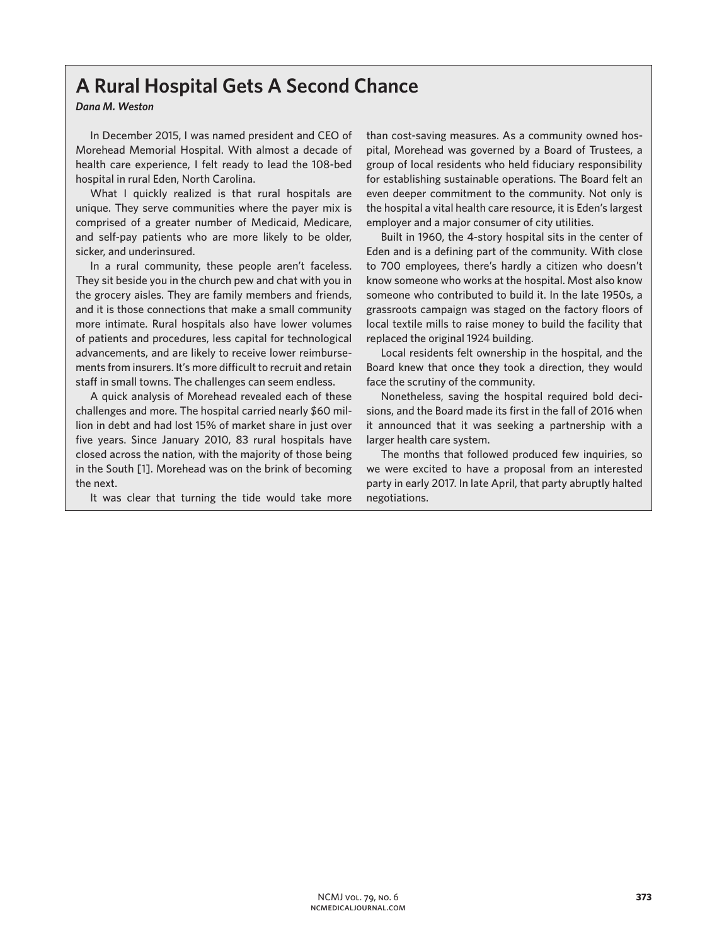## **A Rural Hospital Gets A Second Chance**

## *Dana M. Weston*

In December 2015, I was named president and CEO of Morehead Memorial Hospital. With almost a decade of health care experience, I felt ready to lead the 108-bed hospital in rural Eden, North Carolina.

What I quickly realized is that rural hospitals are unique. They serve communities where the payer mix is comprised of a greater number of Medicaid, Medicare, and self-pay patients who are more likely to be older, sicker, and underinsured.

In a rural community, these people aren't faceless. They sit beside you in the church pew and chat with you in the grocery aisles. They are family members and friends, and it is those connections that make a small community more intimate. Rural hospitals also have lower volumes of patients and procedures, less capital for technological advancements, and are likely to receive lower reimbursements from insurers. It's more difficult to recruit and retain staff in small towns. The challenges can seem endless.

A quick analysis of Morehead revealed each of these challenges and more. The hospital carried nearly \$60 million in debt and had lost 15% of market share in just over five years. Since January 2010, 83 rural hospitals have closed across the nation, with the majority of those being in the South [1]. Morehead was on the brink of becoming the next.

It was clear that turning the tide would take more

than cost-saving measures. As a community owned hospital, Morehead was governed by a Board of Trustees, a group of local residents who held fiduciary responsibility for establishing sustainable operations. The Board felt an even deeper commitment to the community. Not only is the hospital a vital health care resource, it is Eden's largest employer and a major consumer of city utilities.

Built in 1960, the 4-story hospital sits in the center of Eden and is a defining part of the community. With close to 700 employees, there's hardly a citizen who doesn't know someone who works at the hospital. Most also know someone who contributed to build it. In the late 1950s, a grassroots campaign was staged on the factory floors of local textile mills to raise money to build the facility that replaced the original 1924 building.

Local residents felt ownership in the hospital, and the Board knew that once they took a direction, they would face the scrutiny of the community.

Nonetheless, saving the hospital required bold decisions, and the Board made its first in the fall of 2016 when it announced that it was seeking a partnership with a larger health care system.

The months that followed produced few inquiries, so we were excited to have a proposal from an interested party in early 2017. In late April, that party abruptly halted negotiations.